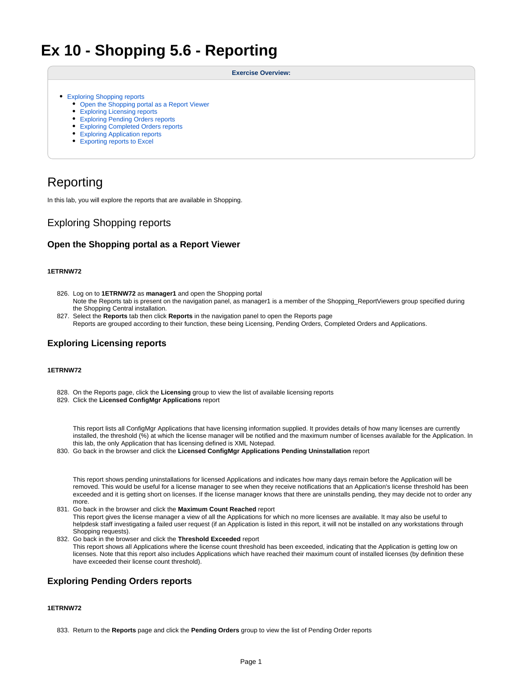# **Ex 10 - Shopping 5.6 - Reporting**

#### **Exercise Overview:**

- [Exploring Shopping reports](#page-0-0)
	- [Open the Shopping portal as a Report Viewer](#page-0-1)
	- [Exploring Licensing reports](#page-0-2)
	- [Exploring Pending Orders reports](#page-0-3)
	- [Exploring Completed Orders reports](#page-1-0)
	- [Exploring Application reports](#page-2-0)
	- [Exporting reports to Excel](#page-2-1)
- 

## Reporting

In this lab, you will explore the reports that are available in Shopping.

## <span id="page-0-0"></span>Exploring Shopping reports

## <span id="page-0-1"></span>**Open the Shopping portal as a Report Viewer**

#### **1ETRNW72**

- 826. Log on to **1ETRNW72** as **manager1** and open the Shopping portal Note the Reports tab is present on the navigation panel, as manager1 is a member of the Shopping\_ReportViewers group specified during the Shopping Central installation.
- 827. Select the **Reports** tab then click **Reports** in the navigation panel to open the Reports page Reports are grouped according to their function, these being Licensing, Pending Orders, Completed Orders and Applications.

## <span id="page-0-2"></span>**Exploring Licensing reports**

#### **1ETRNW72**

- 828. On the Reports page, click the **Licensing** group to view the list of available licensing reports
- 829. Click the **Licensed ConfigMgr Applications** report

This report lists all ConfigMgr Applications that have licensing information supplied. It provides details of how many licenses are currently installed, the threshold (%) at which the license manager will be notified and the maximum number of licenses available for the Application. In this lab, the only Application that has licensing defined is XML Notepad.

830. Go back in the browser and click the **Licensed ConfigMgr Applications Pending Uninstallation** report

This report shows pending uninstallations for licensed Applications and indicates how many days remain before the Application will be removed. This would be useful for a license manager to see when they receive notifications that an Application's license threshold has been exceeded and it is getting short on licenses. If the license manager knows that there are uninstalls pending, they may decide not to order any more.

#### 831. Go back in the browser and click the **Maximum Count Reached** report

This report gives the license manager a view of all the Applications for which no more licenses are available. It may also be useful to helpdesk staff investigating a failed user request (if an Application is listed in this report, it will not be installed on any workstations through Shopping requests).

832. Go back in the browser and click the **Threshold Exceeded** report This report shows all Applications where the license count threshold has been exceeded, indicating that the Application is getting low on licenses. Note that this report also includes Applications which have reached their maximum count of installed licenses (by definition these have exceeded their license count threshold).

## <span id="page-0-3"></span>**Exploring Pending Orders reports**

#### **1ETRNW72**

<sup>833.</sup>  Return to the **Reports** page and click the **Pending Orders** group to view the list of Pending Order reports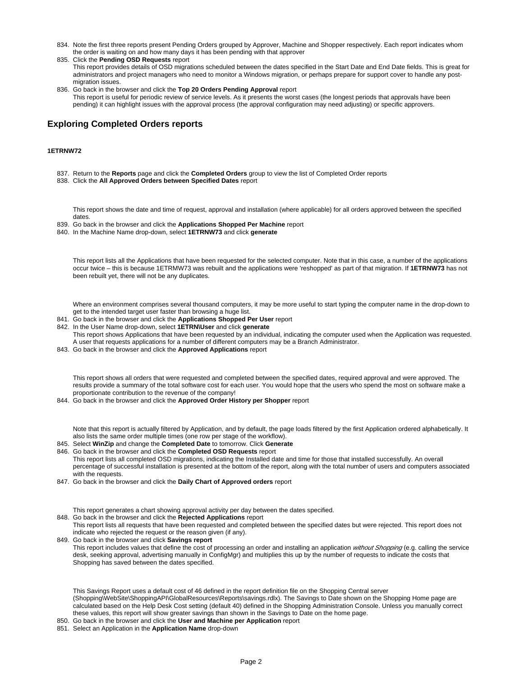- 834. Note the first three reports present Pending Orders grouped by Approver, Machine and Shopper respectively. Each report indicates whom the order is waiting on and how many days it has been pending with that approver
- 835. Click the **Pending OSD Requests** report This report provides details of OSD migrations scheduled between the dates specified in the Start Date and End Date fields. This is great for administrators and project managers who need to monitor a Windows migration, or perhaps prepare for support cover to handle any postmigration issues.
- 836. Go back in the browser and click the **Top 20 Orders Pending Approval** report This report is useful for periodic review of service levels. As it presents the worst cases (the longest periods that approvals have been pending) it can highlight issues with the approval process (the approval configuration may need adjusting) or specific approvers.

## <span id="page-1-0"></span>**Exploring Completed Orders reports**

#### **1ETRNW72**

- 837. Return to the **Reports** page and click the **Completed Orders** group to view the list of Completed Order reports
- 838. Click the **All Approved Orders between Specified Dates** report

This report shows the date and time of request, approval and installation (where applicable) for all orders approved between the specified dates.

- 839. Go back in the browser and click the **Applications Shopped Per Machine** report
- 840. In the Machine Name drop-down, select **1ETRNW73** and click **generate**

This report lists all the Applications that have been requested for the selected computer. Note that in this case, a number of the applications occur twice – this is because 1ETRMW73 was rebuilt and the applications were 'reshopped' as part of that migration. If **1ETRNW73** has not been rebuilt yet, there will not be any duplicates.

Where an environment comprises several thousand computers, it may be more useful to start typing the computer name in the drop-down to get to the intended target user faster than browsing a huge list.

- 841. Go back in the browser and click the **Applications Shopped Per User** report
- 842. In the User Name drop-down, select **1ETRN\User** and click **generate** This report shows Applications that have been requested by an individual, indicating the computer used when the Application was requested. A user that requests applications for a number of different computers may be a Branch Administrator.
- 843. Go back in the browser and click the **Approved Applications** report

This report shows all orders that were requested and completed between the specified dates, required approval and were approved. The results provide a summary of the total software cost for each user. You would hope that the users who spend the most on software make a proportionate contribution to the revenue of the company!

844. Go back in the browser and click the **Approved Order History per Shopper** report

Note that this report is actually filtered by Application, and by default, the page loads filtered by the first Application ordered alphabetically. It also lists the same order multiple times (one row per stage of the workflow).

845. Select **WinZip** and change the **Completed Date** to tomorrow. Click **Generate**

846. Go back in the browser and click the **Completed OSD Requests** report This report lists all completed OSD migrations, indicating the Installed date and time for those that installed successfully. An overall percentage of successful installation is presented at the bottom of the report, along with the total number of users and computers associated with the requests.

847. Go back in the browser and click the **Daily Chart of Approved orders** report

This report generates a chart showing approval activity per day between the dates specified.

848. Go back in the browser and click the **Rejected Applications** report

This report lists all requests that have been requested and completed between the specified dates but were rejected. This report does not indicate who rejected the request or the reason given (if any).

849. Go back in the browser and click **Savings report** This report includes values that define the cost of processing an order and installing an application without Shopping (e.g. calling the service desk, seeking approval, advertising manually in ConfigMgr) and multiplies this up by the number of requests to indicate the costs that Shopping has saved between the dates specified.

This Savings Report uses a default cost of 46 defined in the report definition file on the Shopping Central server (Shopping\WebSite\ShoppingAPI\GlobalResources\Reports\savings.rdlx). The Savings to Date shown on the Shopping Home page are calculated based on the Help Desk Cost setting (default 40) defined in the Shopping Administration Console. Unless you manually correct these values, this report will show greater savings than shown in the Savings to Date on the home page.

850. Go back in the browser and click the **User and Machine per Application** report

851. Select an Application in the **Application Name** drop-down